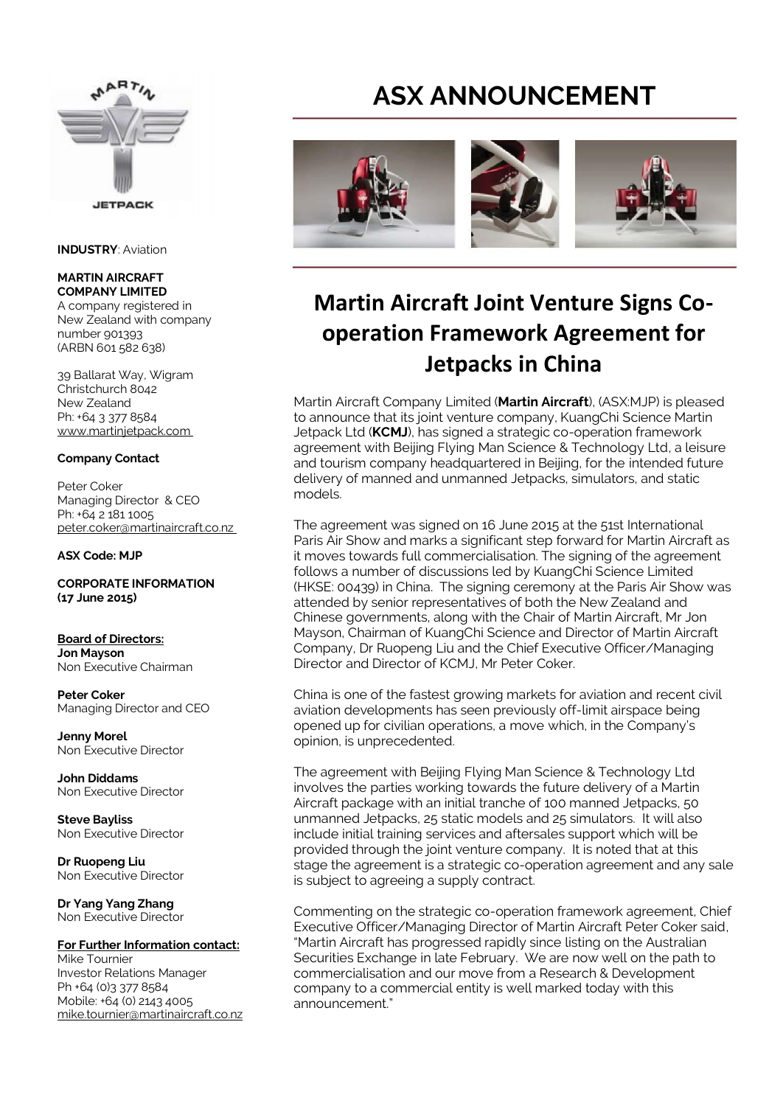

**INDUSTRY**: Aviation

## **MARTIN AIRCRAFT COMPANY LIMITED**

A company registered in New Zealand with company number 901393 (ARBN 601 582 638)

39 Ballarat Way, Wigram Christchurch 8042 New Zealand Ph: +64 3 377 8584 www.martinjetpack.com

## **Company Contact**

Peter Coker Managing Director & CEO Ph: +64 2 181 1005 peter.coker@martinaircraft.co.nz

### **ASX Code: MJP**

**CORPORATE INFORMATION (17 June 2015)** 

#### **Board of Directors: Jon Mayson**  Non Executive Chairman

**Peter Coker**  Managing Director and CEO

**Jenny Morel**  Non Executive Director

**John Diddams**  Non Executive Director

**Steve Bayliss** Non Executive Director

**Dr Ruopeng Liu**  Non Executive Director

**Dr Yang Yang Zhang**  Non Executive Director

#### **For Further Information contact:** Mike Tournier

Investor Relations Manager Ph +64 (0)3 377 8584 Mobile: +64 (0) 2143 4005 mike.tournier@martinaircraft.co.nz

# **ASX ANNOUNCEMENT**



# **Martin Aircraft Joint Venture Signs Cooperation Framework Agreement for Jetpacks in China**

Martin Aircraft Company Limited (**Martin Aircraft**), (ASX:MJP) is pleased to announce that its joint venture company, KuangChi Science Martin Jetpack Ltd (**KCMJ**), has signed a strategic co-operation framework agreement with Beijing Flying Man Science & Technology Ltd, a leisure and tourism company headquartered in Beijing, for the intended future delivery of manned and unmanned Jetpacks, simulators, and static models.

The agreement was signed on 16 June 2015 at the 51st International Paris Air Show and marks a significant step forward for Martin Aircraft as it moves towards full commercialisation. The signing of the agreement follows a number of discussions led by KuangChi Science Limited (HKSE: 00439) in China. The signing ceremony at the Paris Air Show was attended by senior representatives of both the New Zealand and Chinese governments, along with the Chair of Martin Aircraft, Mr Jon Mayson, Chairman of KuangChi Science and Director of Martin Aircraft Company, Dr Ruopeng Liu and the Chief Executive Officer/Managing Director and Director of KCMJ, Mr Peter Coker.

China is one of the fastest growing markets for aviation and recent civil aviation developments has seen previously off-limit airspace being opened up for civilian operations, a move which, in the Company's opinion, is unprecedented.

The agreement with Beijing Flying Man Science & Technology Ltd involves the parties working towards the future delivery of a Martin Aircraft package with an initial tranche of 100 manned Jetpacks, 50 unmanned Jetpacks, 25 static models and 25 simulators. It will also include initial training services and aftersales support which will be provided through the joint venture company. It is noted that at this stage the agreement is a strategic co-operation agreement and any sale is subject to agreeing a supply contract.

Commenting on the strategic co-operation framework agreement, Chief Executive Officer/Managing Director of Martin Aircraft Peter Coker said, "Martin Aircraft has progressed rapidly since listing on the Australian Securities Exchange in late February. We are now well on the path to commercialisation and our move from a Research & Development company to a commercial entity is well marked today with this announcement."